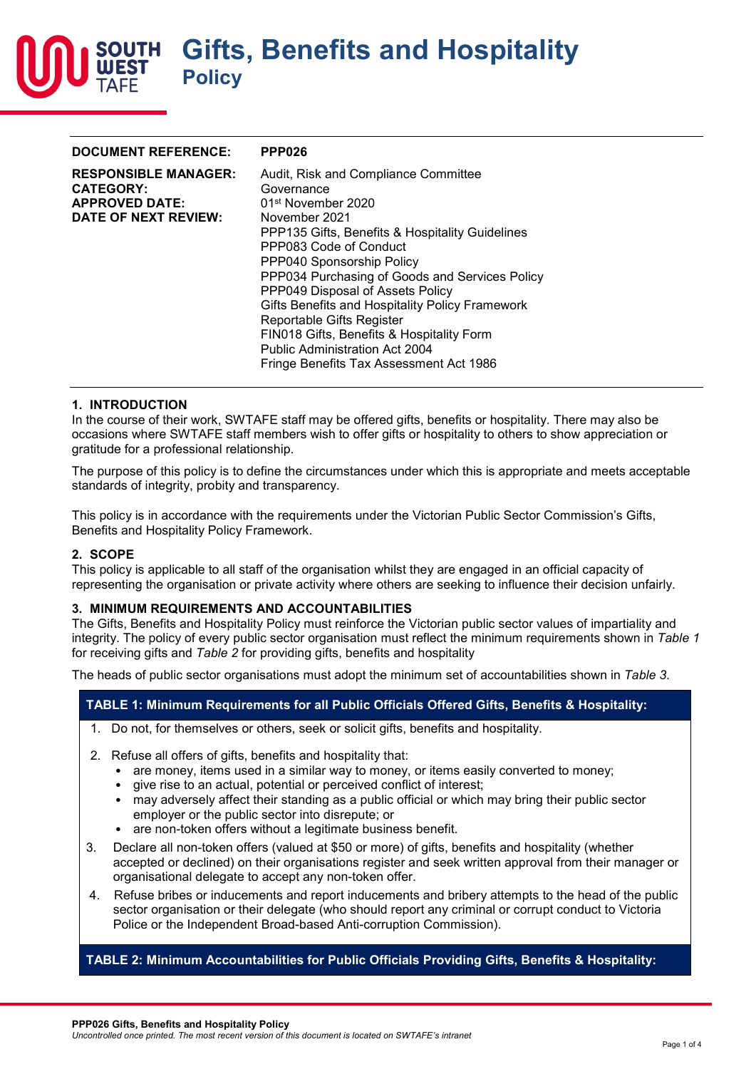

| <b>DOCUMENT REFERENCE:</b>                                                                       | <b>PPP026</b>                                                                                                                                                                                                                                                                                                                                                                                                                                                                                                          |
|--------------------------------------------------------------------------------------------------|------------------------------------------------------------------------------------------------------------------------------------------------------------------------------------------------------------------------------------------------------------------------------------------------------------------------------------------------------------------------------------------------------------------------------------------------------------------------------------------------------------------------|
| <b>RESPONSIBLE MANAGER:</b><br><b>CATEGORY:</b><br><b>APPROVED DATE:</b><br>DATE OF NEXT REVIEW: | Audit, Risk and Compliance Committee<br>Governance<br>01 <sup>st</sup> November 2020<br>November 2021<br>PPP135 Gifts, Benefits & Hospitality Guidelines<br>PPP083 Code of Conduct<br>PPP040 Sponsorship Policy<br>PPP034 Purchasing of Goods and Services Policy<br>PPP049 Disposal of Assets Policy<br>Gifts Benefits and Hospitality Policy Framework<br>Reportable Gifts Register<br>FIN018 Gifts, Benefits & Hospitality Form<br><b>Public Administration Act 2004</b><br>Fringe Benefits Tax Assessment Act 1986 |
|                                                                                                  |                                                                                                                                                                                                                                                                                                                                                                                                                                                                                                                        |

### **1. INTRODUCTION**

In the course of their work, SWTAFE staff may be offered gifts, benefits or hospitality. There may also be occasions where SWTAFE staff members wish to offer gifts or hospitality to others to show appreciation or gratitude for a professional relationship.

The purpose of this policy is to define the circumstances under which this is appropriate and meets acceptable standards of integrity, probity and transparency.

This policy is in accordance with the requirements under the Victorian Public Sector Commission's Gifts, Benefits and Hospitality Policy Framework.

#### **2. SCOPE**

This policy is applicable to all staff of the organisation whilst they are engaged in an official capacity of representing the organisation or private activity where others are seeking to influence their decision unfairly.

#### **3. MINIMUM REQUIREMENTS AND ACCOUNTABILITIES**

The Gifts, Benefits and Hospitality Policy must reinforce the Victorian public sector values of impartiality and integrity. The policy of every public sector organisation must reflect the minimum requirements shown in *Table 1* for receiving gifts and *Table 2* for providing gifts, benefits and hospitality

The heads of public sector organisations must adopt the minimum set of accountabilities shown in *Table 3*.

### **TABLE 1: Minimum Requirements for all Public Officials Offered Gifts, Benefits & Hospitality:**

- 1. Do not, for themselves or others, seek or solicit gifts, benefits and hospitality.
- 2. Refuse all offers of gifts, benefits and hospitality that:
	- are money, items used in a similar way to money, or items easily converted to money;
	- give rise to an actual, potential or perceived conflict of interest;
	- may adversely affect their standing as a public official or which may bring their public sector employer or the public sector into disrepute; or
	- are non-token offers without a legitimate business benefit.
- 3. Declare all non-token offers (valued at \$50 or more) of gifts, benefits and hospitality (whether accepted or declined) on their organisations register and seek written approval from their manager or organisational delegate to accept any non-token offer.
- 4. Refuse bribes or inducements and report inducements and bribery attempts to the head of the public sector organisation or their delegate (who should report any criminal or corrupt conduct to Victoria Police or the Independent Broad-based Anti-corruption Commission).

### **TABLE 2: Minimum Accountabilities for Public Officials Providing Gifts, Benefits & Hospitality:**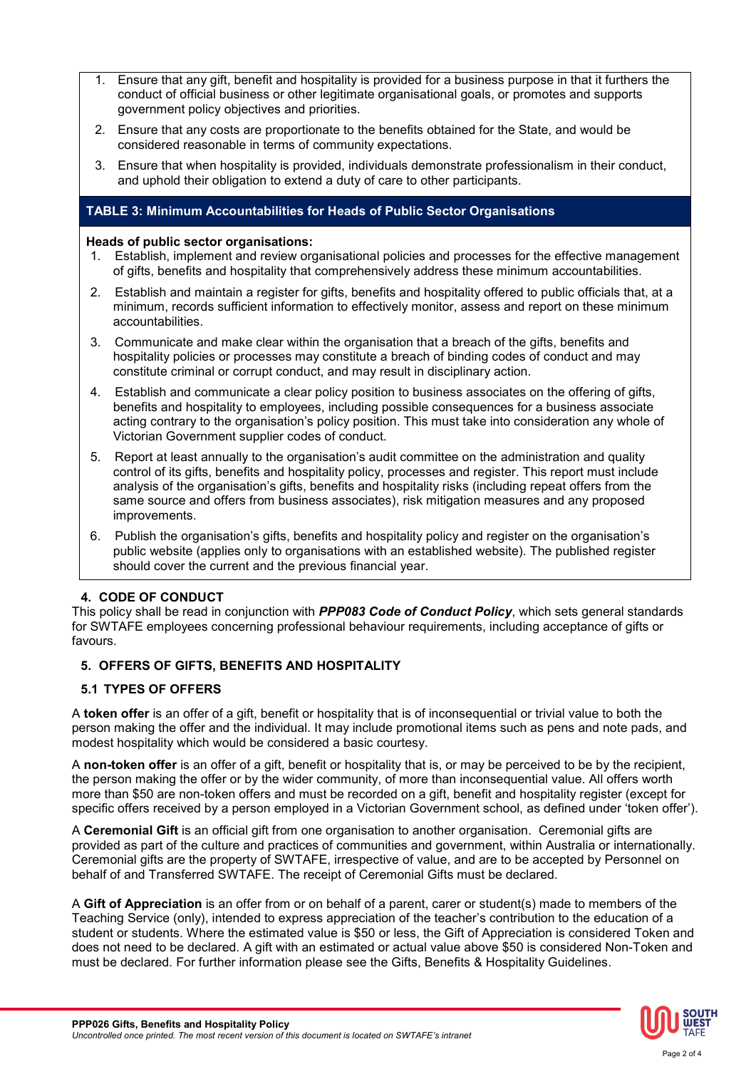- 1. Ensure that any gift, benefit and hospitality is provided for a business purpose in that it furthers the conduct of official business or other legitimate organisational goals, or promotes and supports government policy objectives and priorities.
- 2. Ensure that any costs are proportionate to the benefits obtained for the State, and would be considered reasonable in terms of community expectations.
- 3. Ensure that when hospitality is provided, individuals demonstrate professionalism in their conduct, and uphold their obligation to extend a duty of care to other participants.

## **TABLE 3: Minimum Accountabilities for Heads of Public Sector Organisations**

### **Heads of public sector organisations:**

- 1. Establish, implement and review organisational policies and processes for the effective management of gifts, benefits and hospitality that comprehensively address these minimum accountabilities.
- 2. Establish and maintain a register for gifts, benefits and hospitality offered to public officials that, at a minimum, records sufficient information to effectively monitor, assess and report on these minimum accountabilities.
- 3. Communicate and make clear within the organisation that a breach of the gifts, benefits and hospitality policies or processes may constitute a breach of binding codes of conduct and may constitute criminal or corrupt conduct, and may result in disciplinary action.
- 4. Establish and communicate a clear policy position to business associates on the offering of gifts, benefits and hospitality to employees, including possible consequences for a business associate acting contrary to the organisation's policy position. This must take into consideration any whole of Victorian Government supplier codes of conduct.
- 5. Report at least annually to the organisation's audit committee on the administration and quality control of its gifts, benefits and hospitality policy, processes and register. This report must include analysis of the organisation's gifts, benefits and hospitality risks (including repeat offers from the same source and offers from business associates), risk mitigation measures and any proposed improvements.
- 6. Publish the organisation's gifts, benefits and hospitality policy and register on the organisation's public website (applies only to organisations with an established website). The published register should cover the current and the previous financial year.

# **4. CODE OF CONDUCT**

This policy shall be read in conjunction with *PPP083 Code of Conduct Policy*, which sets general standards for SWTAFE employees concerning professional behaviour requirements, including acceptance of gifts or favours.

# **5. OFFERS OF GIFTS, BENEFITS AND HOSPITALITY**

# **5.1 TYPES OF OFFERS**

A **token offer** is an offer of a gift, benefit or hospitality that is of inconsequential or trivial value to both the person making the offer and the individual. It may include promotional items such as pens and note pads, and modest hospitality which would be considered a basic courtesy.

A **non-token offer** is an offer of a gift, benefit or hospitality that is, or may be perceived to be by the recipient, the person making the offer or by the wider community, of more than inconsequential value. All offers worth more than \$50 are non-token offers and must be recorded on a gift, benefit and hospitality register (except for specific offers received by a person employed in a Victorian Government school, as defined under 'token offer').

A **Ceremonial Gift** is an official gift from one organisation to another organisation. Ceremonial gifts are provided as part of the culture and practices of communities and government, within Australia or internationally. Ceremonial gifts are the property of SWTAFE, irrespective of value, and are to be accepted by Personnel on behalf of and Transferred SWTAFE. The receipt of Ceremonial Gifts must be declared.

A **Gift of Appreciation** is an offer from or on behalf of a parent, carer or student(s) made to members of the Teaching Service (only), intended to express appreciation of the teacher's contribution to the education of a student or students. Where the estimated value is \$50 or less, the Gift of Appreciation is considered Token and does not need to be declared. A gift with an estimated or actual value above \$50 is considered Non-Token and must be declared. For further information please see the Gifts, Benefits & Hospitality Guidelines.

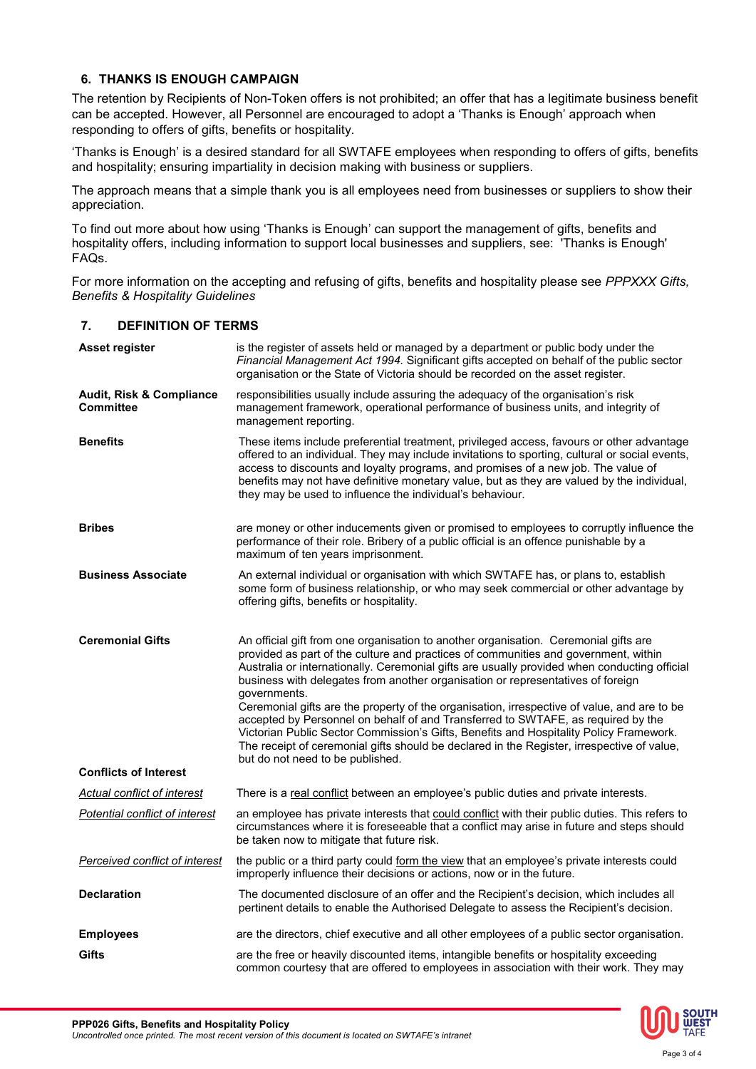# **6. THANKS IS ENOUGH CAMPAIGN**

The retention by Recipients of Non-Token offers is not prohibited; an offer that has a legitimate business benefit can be accepted. However, all Personnel are encouraged to adopt a 'Thanks is Enough' approach when responding to offers of gifts, benefits or hospitality.

'Thanks is Enough' is a desired standard for all SWTAFE employees when responding to offers of gifts, benefits and hospitality; ensuring impartiality in decision making with business or suppliers.

The approach means that a simple thank you is all employees need from businesses or suppliers to show their appreciation.

To find out more about how using 'Thanks is Enough' can support the management of gifts, benefits and hospitality offers, including information to support local businesses and suppliers, see: 'Thanks is Enough' FAQs.

For more information on the accepting and refusing of gifts, benefits and hospitality please see *PPPXXX Gifts, Benefits & Hospitality Guidelines*

### **7. DEFINITION OF TERMS**

| Asset register                                          | is the register of assets held or managed by a department or public body under the<br>Financial Management Act 1994. Significant gifts accepted on behalf of the public sector<br>organisation or the State of Victoria should be recorded on the asset register.                                                                                                                                                                                                                                                                                                                                                                                                                                                                                         |
|---------------------------------------------------------|-----------------------------------------------------------------------------------------------------------------------------------------------------------------------------------------------------------------------------------------------------------------------------------------------------------------------------------------------------------------------------------------------------------------------------------------------------------------------------------------------------------------------------------------------------------------------------------------------------------------------------------------------------------------------------------------------------------------------------------------------------------|
| <b>Audit, Risk &amp; Compliance</b><br><b>Committee</b> | responsibilities usually include assuring the adequacy of the organisation's risk<br>management framework, operational performance of business units, and integrity of<br>management reporting.                                                                                                                                                                                                                                                                                                                                                                                                                                                                                                                                                           |
| <b>Benefits</b>                                         | These items include preferential treatment, privileged access, favours or other advantage<br>offered to an individual. They may include invitations to sporting, cultural or social events,<br>access to discounts and loyalty programs, and promises of a new job. The value of<br>benefits may not have definitive monetary value, but as they are valued by the individual,<br>they may be used to influence the individual's behaviour.                                                                                                                                                                                                                                                                                                               |
| <b>Bribes</b>                                           | are money or other inducements given or promised to employees to corruptly influence the<br>performance of their role. Bribery of a public official is an offence punishable by a<br>maximum of ten years imprisonment.                                                                                                                                                                                                                                                                                                                                                                                                                                                                                                                                   |
| <b>Business Associate</b>                               | An external individual or organisation with which SWTAFE has, or plans to, establish<br>some form of business relationship, or who may seek commercial or other advantage by<br>offering gifts, benefits or hospitality.                                                                                                                                                                                                                                                                                                                                                                                                                                                                                                                                  |
| <b>Ceremonial Gifts</b>                                 | An official gift from one organisation to another organisation. Ceremonial gifts are<br>provided as part of the culture and practices of communities and government, within<br>Australia or internationally. Ceremonial gifts are usually provided when conducting official<br>business with delegates from another organisation or representatives of foreign<br>governments.<br>Ceremonial gifts are the property of the organisation, irrespective of value, and are to be<br>accepted by Personnel on behalf of and Transferred to SWTAFE, as required by the<br>Victorian Public Sector Commission's Gifts, Benefits and Hospitality Policy Framework.<br>The receipt of ceremonial gifts should be declared in the Register, irrespective of value, |
| <b>Conflicts of Interest</b>                            | but do not need to be published.                                                                                                                                                                                                                                                                                                                                                                                                                                                                                                                                                                                                                                                                                                                          |
| Actual conflict of interest                             | There is a real conflict between an employee's public duties and private interests.                                                                                                                                                                                                                                                                                                                                                                                                                                                                                                                                                                                                                                                                       |
| Potential conflict of interest                          | an employee has private interests that could conflict with their public duties. This refers to<br>circumstances where it is foreseeable that a conflict may arise in future and steps should<br>be taken now to mitigate that future risk.                                                                                                                                                                                                                                                                                                                                                                                                                                                                                                                |
| Perceived conflict of interest                          | the public or a third party could form the view that an employee's private interests could<br>improperly influence their decisions or actions, now or in the future.                                                                                                                                                                                                                                                                                                                                                                                                                                                                                                                                                                                      |
| <b>Declaration</b>                                      | The documented disclosure of an offer and the Recipient's decision, which includes all<br>pertinent details to enable the Authorised Delegate to assess the Recipient's decision.                                                                                                                                                                                                                                                                                                                                                                                                                                                                                                                                                                         |
| <b>Employees</b>                                        | are the directors, chief executive and all other employees of a public sector organisation.                                                                                                                                                                                                                                                                                                                                                                                                                                                                                                                                                                                                                                                               |
| Gifts                                                   | are the free or heavily discounted items, intangible benefits or hospitality exceeding<br>common courtesy that are offered to employees in association with their work. They may                                                                                                                                                                                                                                                                                                                                                                                                                                                                                                                                                                          |